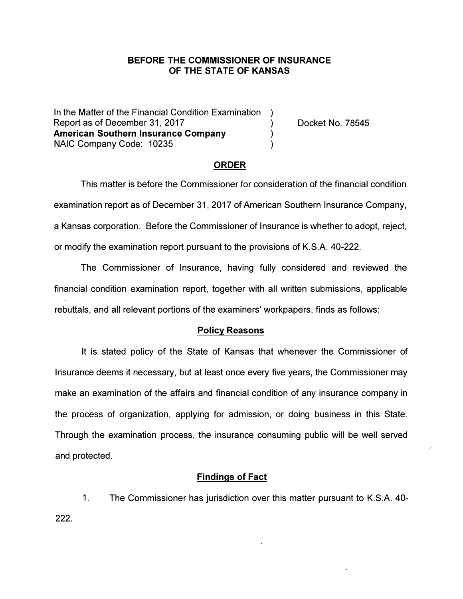## **BEFORE THE COMMISSIONER OF INSURANCE OF THE STATE OF KANSAS**

In the Matter of the Financial Condition Examination Report as of December 31, 2017<br> **American Southern Insurance Company American Southern Insurance Company )**  NAIC Company Code: 10235

Docket No. 78545

### **ORDER**

This matter is before the Commissioner for consideration of the financial condition examination report as of December 31, 2017 of American Southern Insurance Company, a Kansas corporation. Before the Commissioner of Insurance is whether to adopt, reject, or modify the examination report pursuant to the provisions of K.S.A. 40-222.

The Commissioner of Insurance, having fully considered and reviewed the financial condition examination report, together with all written submissions, applicable rebuttals, and all relevant portions of the examiners' workpapers, finds as follows:

#### **Policy Reasons**

It is stated policy of the State of Kansas that whenever the Commissioner of Insurance deems it necessary, but at least once every five years, the Commissioner may make an examination of the affairs and financial condition of any insurance company in the process of organization, applying for admission, or doing business in this State. Through the examination process, the insurance consuming public will be well served and protected.

#### **Findings of Fact**

222. 1. The Commissioner has jurisdiction over this matter pursuant to K.S.A. 40-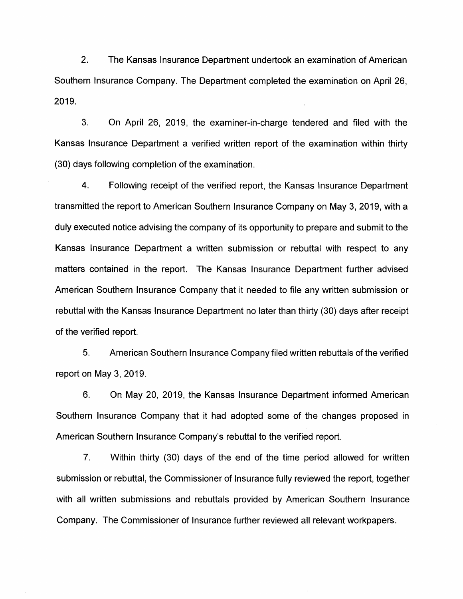2. The Kansas Insurance Department undertook an examination of American Southern Insurance Company. The Department completed the examination on April 26, 2019.

3. On April 26, 2019, the examiner-in-charge tendered and filed with the Kansas Insurance Department a verified written report of the examination within thirty (30) days following completion of the examination.

4. Following receipt of the verified report, the Kansas Insurance Department transmitted the report to American Southern Insurance Company on May 3, 2019, with a duly executed notice advising the company of its opportunity to prepare and submit to the Kansas Insurance Department a written submission or rebuttal with respect to any matters contained in the report. The Kansas Insurance Department further advised American Southern Insurance Company that it needed to file any written submission or rebuttal with the Kansas Insurance Department no later than thirty (30) days after receipt of the verified report.

5. American Southern Insurance Company filed written rebuttals of the verified report on May 3, 2019.

6. On May 20, 2019, the Kansas Insurance Department informed American Southern Insurance Company that it had adopted some of the changes proposed in American Southern Insurance Company's rebuttal to the verified report.

7. Within thirty (30) days of the end of the time period allowed for written submission or rebuttal, the Commissioner of Insurance fully reviewed the report, together with all written submissions and rebuttals provided by American Southern Insurance Company. The Commissioner of Insurance further reviewed all relevant workpapers.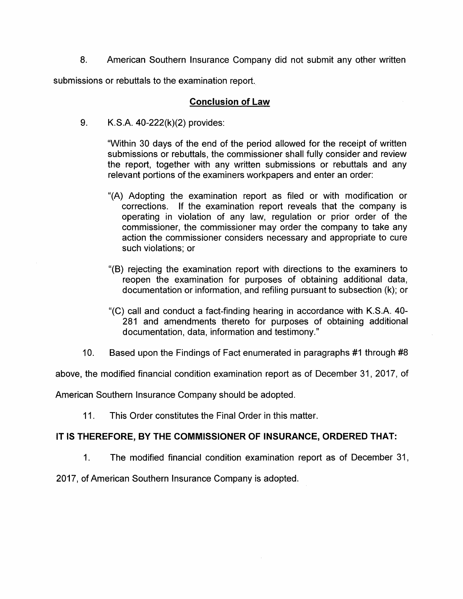8. American Southern Insurance Company did not submit any other written

submissions or rebuttals to the examination report.

## **Conclusion of Law**

9. K.S.A. 40-222(k)(2) provides:

"Within 30 days of the end of the period allowed for the receipt of written submissions or rebuttals, the commissioner shall fully consider and review the report, together with any written submissions or rebuttals and any relevant portions of the examiners workpapers and enter an order:

- "(A) Adopting the examination report as filed or with modification or corrections. If the examination report reveals that the company is operating in violation of any law, regulation or prior order of the commissioner, the commissioner may order the company to take any action the commissioner considers necessary and appropriate to cure such violations; or
- "(B) rejecting the examination report with directions to the examiners to reopen the examination for purposes of obtaining additional data, documentation or information, and refiling pursuant to subsection (k); or
- "(C) call and conduct a fact-finding hearing in accordance with K.S.A. 40- 281 and amendments thereto for purposes of obtaining additional documentation, data, information and testimony."
- 10. Based upon the Findings of Fact enumerated in paragraphs #1 through #8

above, the modified financial condition examination report as of December 31, 2017, of

American Southern Insurance Company should be adopted.

11. This Order constitutes the Final Order in this matter.

# **IT IS THEREFORE, BY THE COMMISSIONER OF INSURANCE, ORDERED THAT:**

1. The modified financial condition examination report as of December 31,

2017, of American Southern Insurance Company is adopted.